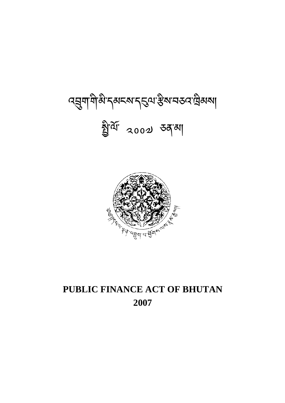# **PUBLIC FINANCE ACT OF BHUTAN 2007**



ব্ মুশাশীন্তী ব্ৰূম ব্যৱস্থা স্থিত ব্যৱস্থাৰ কৰা বিষয়া খ্রী<sup>ন্দ</sup> 2002 ডব্'মা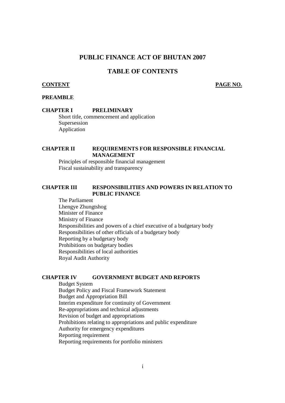#### **PUBLIC FINANCE ACT OF BHUTAN 2007**

#### **TABLE OF CONTENTS**

#### **CONTENT PAGE NO.**

#### **PREAMBLE**

#### **CHAPTER I PRELIMINARY**

Short title, commencement and application Supersession Application

#### **CHAPTER II REQUIREMENTS FOR RESPONSIBLE FINANCIAL MANAGEMENT**

 Principles of responsible financial management Fiscal sustainability and transparency

#### **CHAPTER III RESPONSIBILITIES AND POWERS IN RELATION TO PUBLIC FINANCE**

 The Parliament Lhengye Zhungtshog Minister of Finance Ministry of Finance Responsibilities and powers of a chief executive of a budgetary body Responsibilities of other officials of a budgetary body Reporting by a budgetary body Prohibitions on budgetary bodies Responsibilities of local authorities Royal Audit Authority

#### **CHAPTER IV GOVERNMENT BUDGET AND REPORTS**

 Budget System Budget Policy and Fiscal Framework Statement Budget and Appropriation Bill Interim expenditure for continuity of Government Re-appropriations and technical adjustments Revision of budget and appropriations Prohibitions relating to appropriations and public expenditure Authority for emergency expenditures Reporting requirement Reporting requirements for portfolio ministers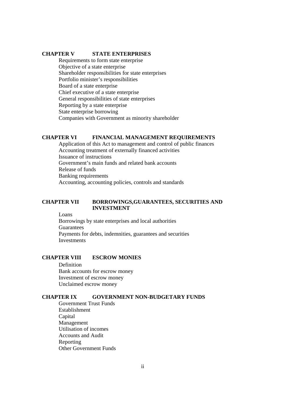#### **CHAPTER V STATE ENTERPRISES**

Requirements to form state enterprise Objective of a state enterprise Shareholder responsibilities for state enterprises Portfolio minister's responsibilities Board of a state enterprise Chief executive of a state enterprise General responsibilities of state enterprises Reporting by a state enterprise State enterprise borrowing Companies with Government as minority shareholder

#### **CHAPTER VI FINANCIAL MANAGEMENT REQUIREMENTS**

 Application of this Act to management and control of public finances Accounting treatment of externally financed activities Issuance of instructions Government's main funds and related bank accounts Release of funds Banking requirements Accounting, accounting policies, controls and standards

#### **CHAPTER VII BORROWINGS,GUARANTEES, SECURITIES AND INVESTMENT**

Loans

 Borrowings by state enterprises and local authorities Guarantees Payments for debts, indemnities, guarantees and securities **Investments** 

#### **CHAPTER VIII ESCROW MONIES**

 Definition Bank accounts for escrow money Investment of escrow money Unclaimed escrow money

#### **CHAPTER IX GOVERNMENT NON-BUDGETARY FUNDS**

 Government Trust Funds Establishment Capital Management Utilisation of incomes Accounts and Audit Reporting Other Government Funds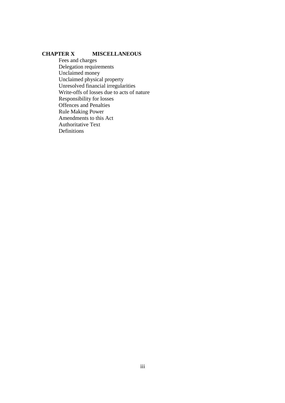#### **CHAPTER X MISCELLANEOUS**

 Fees and charges Delegation requirements Unclaimed money Unclaimed physical property Unresolved financial irregularities Write-offs of losses due to acts of nature Responsibility for losses Offences and Penalties Rule Making Power Amendments to this Act Authoritative Text Definitions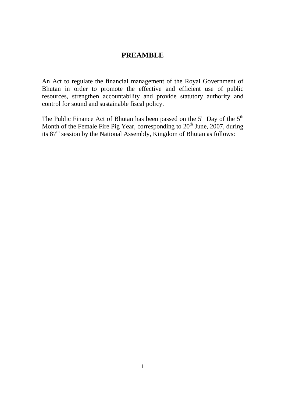#### **PREAMBLE**

An Act to regulate the financial management of the Royal Government of Bhutan in order to promote the effective and efficient use of public resources, strengthen accountability and provide statutory authority and control for sound and sustainable fiscal policy.

The Public Finance Act of Bhutan has been passed on the  $5<sup>th</sup>$  Day of the  $5<sup>th</sup>$ Month of the Female Fire Pig Year, corresponding to  $20<sup>th</sup>$  June, 2007, during its 87<sup>th</sup> session by the National Assembly, Kingdom of Bhutan as follows: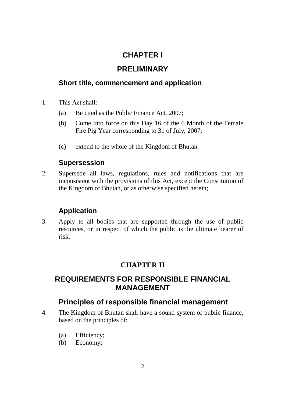# **CHAPTER I**

# **PRELIMINARY**

# **Short title, commencement and application**

- 1. This Act shall:
	- (a) Be cited as the Public Finance Act, 2007;
	- (b) Come into force on this Day 16 of the 6 Month of the Female Fire Pig Year corresponding to 31 of July, 2007;
	- (c) extend to the whole of the Kingdom of Bhutan.

# **Supersession**

2. Supersede all laws, regulations, rules and notifications that are inconsistent with the provisions of this Act, except the Constitution of the Kingdom of Bhutan, or as otherwise specified herein;

# **Application**

3. Apply to all bodies that are supported through the use of public resources, or in respect of which the public is the ultimate bearer of risk.

# **CHAPTER II**

# **REQUIREMENTS FOR RESPONSIBLE FINANCIAL MANAGEMENT**

# **Principles of responsible financial management**

- 4. The Kingdom of Bhutan shall have a sound system of public finance, based on the principles of:
	- (a) Efficiency;
	- (b) Economy;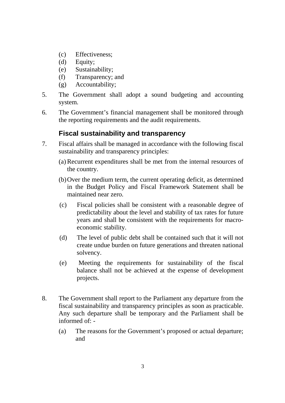- (c) Effectiveness;
- (d) Equity;
- (e) Sustainability;
- (f) Transparency; and
- (g) Accountability;
- 5. The Government shall adopt a sound budgeting and accounting system.
- 6. The Government's financial management shall be monitored through the reporting requirements and the audit requirements.

# **Fiscal sustainability and transparency**

- 7. Fiscal affairs shall be managed in accordance with the following fiscal sustainability and transparency principles:
	- (a) Recurrent expenditures shall be met from the internal resources of the country.
	- (b)Over the medium term, the current operating deficit, as determined in the Budget Policy and Fiscal Framework Statement shall be maintained near zero.
	- (c) Fiscal policies shall be consistent with a reasonable degree of predictability about the level and stability of tax rates for future years and shall be consistent with the requirements for macroeconomic stability.
	- (d) The level of public debt shall be contained such that it will not create undue burden on future generations and threaten national solvency.
	- (e) Meeting the requirements for sustainability of the fiscal balance shall not be achieved at the expense of development projects.
- 8. The Government shall report to the Parliament any departure from the fiscal sustainability and transparency principles as soon as practicable. Any such departure shall be temporary and the Parliament shall be informed of: -
	- (a) The reasons for the Government's proposed or actual departure; and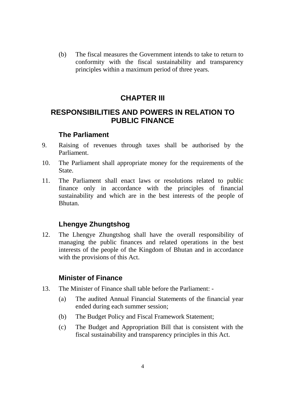(b) The fiscal measures the Government intends to take to return to conformity with the fiscal sustainability and transparency principles within a maximum period of three years.

# **CHAPTER III**

# **RESPONSIBILITIES AND POWERS IN RELATION TO PUBLIC FINANCE**

# **The Parliament**

- 9. Raising of revenues through taxes shall be authorised by the Parliament.
- 10. The Parliament shall appropriate money for the requirements of the State.
- 11. The Parliament shall enact laws or resolutions related to public finance only in accordance with the principles of financial sustainability and which are in the best interests of the people of Bhutan.

# **Lhengye Zhungtshog**

12. The Lhengye Zhungtshog shall have the overall responsibility of managing the public finances and related operations in the best interests of the people of the Kingdom of Bhutan and in accordance with the provisions of this Act.

# **Minister of Finance**

- 13. The Minister of Finance shall table before the Parliament:
	- (a) The audited Annual Financial Statements of the financial year ended during each summer session;
	- (b) The Budget Policy and Fiscal Framework Statement;
	- (c) The Budget and Appropriation Bill that is consistent with the fiscal sustainability and transparency principles in this Act.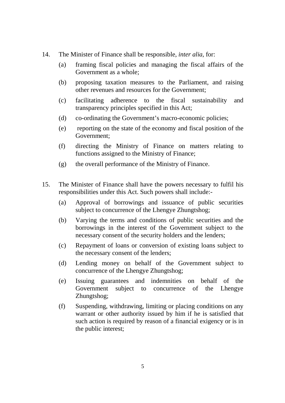- 14. The Minister of Finance shall be responsible, *inter alia*, for:
	- (a) framing fiscal policies and managing the fiscal affairs of the Government as a whole;
	- (b) proposing taxation measures to the Parliament, and raising other revenues and resources for the Government;
	- (c) facilitating adherence to the fiscal sustainability and transparency principles specified in this Act;
	- (d) co-ordinating the Government's macro-economic policies;
	- (e) reporting on the state of the economy and fiscal position of the Government;
	- (f) directing the Ministry of Finance on matters relating to functions assigned to the Ministry of Finance;
	- (g) the overall performance of the Ministry of Finance.
- 15. The Minister of Finance shall have the powers necessary to fulfil his responsibilities under this Act. Such powers shall include:-
	- (a) Approval of borrowings and issuance of public securities subject to concurrence of the Lhengye Zhungtshog;
	- (b) Varying the terms and conditions of public securities and the borrowings in the interest of the Government subject to the necessary consent of the security holders and the lenders;
	- (c) Repayment of loans or conversion of existing loans subject to the necessary consent of the lenders;
	- (d) Lending money on behalf of the Government subject to concurrence of the Lhengye Zhungtshog;
	- (e) Issuing guarantees and indemnities on behalf of the Government subject to concurrence of the Lhengye Zhungtshog;
	- (f) Suspending, withdrawing, limiting or placing conditions on any warrant or other authority issued by him if he is satisfied that such action is required by reason of a financial exigency or is in the public interest;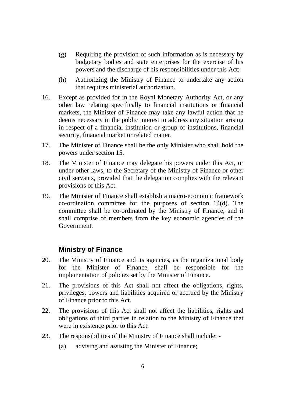- (g) Requiring the provision of such information as is necessary by budgetary bodies and state enterprises for the exercise of his powers and the discharge of his responsibilities under this Act;
- (h) Authorizing the Ministry of Finance to undertake any action that requires ministerial authorization.
- 16. Except as provided for in the Royal Monetary Authority Act, or any other law relating specifically to financial institutions or financial markets, the Minister of Finance may take any lawful action that he deems necessary in the public interest to address any situation arising in respect of a financial institution or group of institutions, financial security, financial market or related matter.
- 17. The Minister of Finance shall be the only Minister who shall hold the powers under section 15.
- 18. The Minister of Finance may delegate his powers under this Act, or under other laws, to the Secretary of the Ministry of Finance or other civil servants, provided that the delegation complies with the relevant provisions of this Act.
- 19. The Minister of Finance shall establish a macro-economic framework co-ordination committee for the purposes of section 14(d). The committee shall be co-ordinated by the Ministry of Finance, and it shall comprise of members from the key economic agencies of the Government.

# **Ministry of Finance**

- 20. The Ministry of Finance and its agencies, as the organizational body for the Minister of Finance, shall be responsible for the implementation of policies set by the Minister of Finance.
- 21. The provisions of this Act shall not affect the obligations, rights, privileges, powers and liabilities acquired or accrued by the Ministry of Finance prior to this Act.
- 22. The provisions of this Act shall not affect the liabilities, rights and obligations of third parties in relation to the Ministry of Finance that were in existence prior to this Act.
- 23. The responsibilities of the Ministry of Finance shall include:
	- (a) advising and assisting the Minister of Finance;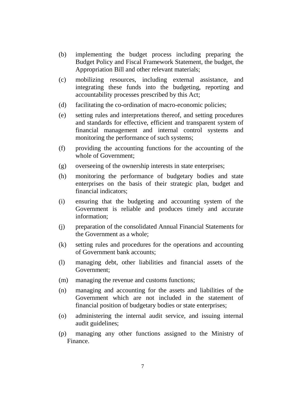- (b) implementing the budget process including preparing the Budget Policy and Fiscal Framework Statement, the budget, the Appropriation Bill and other relevant materials;
- (c) mobilizing resources, including external assistance, and integrating these funds into the budgeting, reporting and accountability processes prescribed by this Act;
- (d) facilitating the co-ordination of macro-economic policies;
- (e) setting rules and interpretations thereof, and setting procedures and standards for effective, efficient and transparent system of financial management and internal control systems and monitoring the performance of such systems;
- (f) providing the accounting functions for the accounting of the whole of Government;
- (g) overseeing of the ownership interests in state enterprises;
- (h) monitoring the performance of budgetary bodies and state enterprises on the basis of their strategic plan, budget and financial indicators;
- (i) ensuring that the budgeting and accounting system of the Government is reliable and produces timely and accurate information;
- (j) preparation of the consolidated Annual Financial Statements for the Government as a whole;
- (k) setting rules and procedures for the operations and accounting of Government bank accounts;
- (l) managing debt, other liabilities and financial assets of the Government;
- (m) managing the revenue and customs functions;
- (n) managing and accounting for the assets and liabilities of the Government which are not included in the statement of financial position of budgetary bodies or state enterprises;
- (o) administering the internal audit service, and issuing internal audit guidelines;
- (p) managing any other functions assigned to the Ministry of Finance.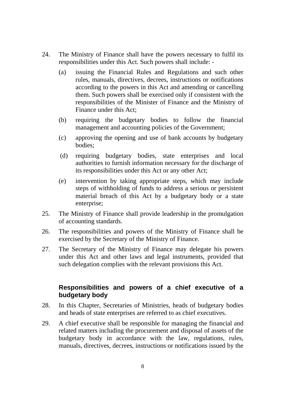- 24. The Ministry of Finance shall have the powers necessary to fulfil its responsibilities under this Act. Such powers shall include: -
	- (a) issuing the Financial Rules and Regulations and such other rules, manuals, directives, decrees, instructions or notifications according to the powers in this Act and amending or cancelling them. Such powers shall be exercised only if consistent with the responsibilities of the Minister of Finance and the Ministry of Finance under this Act;
	- (b) requiring the budgetary bodies to follow the financial management and accounting policies of the Government;
	- (c) approving the opening and use of bank accounts by budgetary bodies;
	- (d) requiring budgetary bodies, state enterprises and local authorities to furnish information necessary for the discharge of its responsibilities under this Act or any other Act;
	- (e) intervention by taking appropriate steps, which may include steps of withholding of funds to address a serious or persistent material breach of this Act by a budgetary body or a state enterprise;
- 25. The Ministry of Finance shall provide leadership in the promulgation of accounting standards.
- 26. The responsibilities and powers of the Ministry of Finance shall be exercised by the Secretary of the Ministry of Finance.
- 27. The Secretary of the Ministry of Finance may delegate his powers under this Act and other laws and legal instruments, provided that such delegation complies with the relevant provisions this Act.

# **Responsibilities and powers of a chief executive of a budgetary body**

- 28. In this Chapter, Secretaries of Ministries, heads of budgetary bodies and heads of state enterprises are referred to as chief executives.
- 29. A chief executive shall be responsible for managing the financial and related matters including the procurement and disposal of assets of the budgetary body in accordance with the law, regulations, rules, manuals, directives, decrees, instructions or notifications issued by the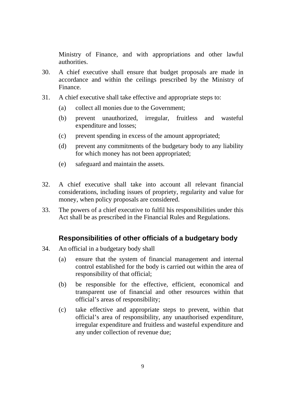Ministry of Finance, and with appropriations and other lawful authorities.

- 30. A chief executive shall ensure that budget proposals are made in accordance and within the ceilings prescribed by the Ministry of Finance.
- 31. A chief executive shall take effective and appropriate steps to:
	- (a) collect all monies due to the Government;
	- (b) prevent unauthorized, irregular, fruitless and wasteful expenditure and losses;
	- (c) prevent spending in excess of the amount appropriated;
	- (d) prevent any commitments of the budgetary body to any liability for which money has not been appropriated;
	- (e) safeguard and maintain the assets.
- 32. A chief executive shall take into account all relevant financial considerations, including issues of propriety, regularity and value for money, when policy proposals are considered.
- 33. The powers of a chief executive to fulfil his responsibilities under this Act shall be as prescribed in the Financial Rules and Regulations.

# **Responsibilities of other officials of a budgetary body**

- 34. An official in a budgetary body shall
	- (a) ensure that the system of financial management and internal control established for the body is carried out within the area of responsibility of that official;
	- (b) be responsible for the effective, efficient, economical and transparent use of financial and other resources within that official's areas of responsibility;
	- (c) take effective and appropriate steps to prevent, within that official's area of responsibility, any unauthorised expenditure, irregular expenditure and fruitless and wasteful expenditure and any under collection of revenue due;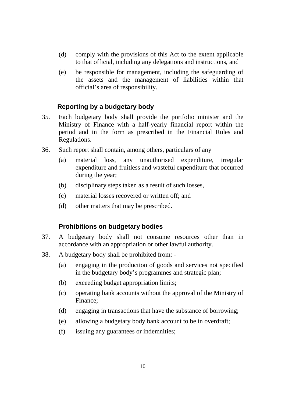- (d) comply with the provisions of this Act to the extent applicable to that official, including any delegations and instructions, and
- (e) be responsible for management, including the safeguarding of the assets and the management of liabilities within that official's area of responsibility.

# **Reporting by a budgetary body**

- 35. Each budgetary body shall provide the portfolio minister and the Ministry of Finance with a half-yearly financial report within the period and in the form as prescribed in the Financial Rules and Regulations.
- 36. Such report shall contain, among others, particulars of any
	- (a) material loss, any unauthorised expenditure, irregular expenditure and fruitless and wasteful expenditure that occurred during the year;
	- (b) disciplinary steps taken as a result of such losses,
	- (c) material losses recovered or written off; and
	- (d) other matters that may be prescribed.

# **Prohibitions on budgetary bodies**

- 37. A budgetary body shall not consume resources other than in accordance with an appropriation or other lawful authority.
- 38. A budgetary body shall be prohibited from:
	- (a) engaging in the production of goods and services not specified in the budgetary body's programmes and strategic plan;
	- (b) exceeding budget appropriation limits;
	- (c) operating bank accounts without the approval of the Ministry of Finance;
	- (d) engaging in transactions that have the substance of borrowing;
	- (e) allowing a budgetary body bank account to be in overdraft;
	- (f) issuing any guarantees or indemnities;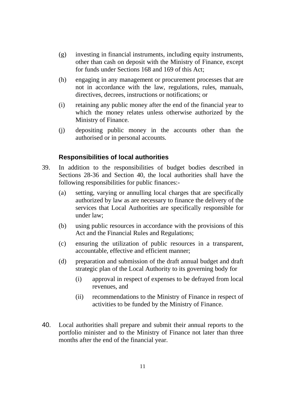- (g) investing in financial instruments, including equity instruments, other than cash on deposit with the Ministry of Finance, except for funds under Sections 168 and 169 of this Act;
- (h) engaging in any management or procurement processes that are not in accordance with the law, regulations, rules, manuals, directives, decrees, instructions or notifications; or
- (i) retaining any public money after the end of the financial year to which the money relates unless otherwise authorized by the Ministry of Finance.
- (j) depositing public money in the accounts other than the authorised or in personal accounts.

# **Responsibilities of local authorities**

- 39. In addition to the responsibilities of budget bodies described in Sections 28-36 and Section 40, the local authorities shall have the following responsibilities for public finances:-
	- (a) setting, varying or annulling local charges that are specifically authorized by law as are necessary to finance the delivery of the services that Local Authorities are specifically responsible for under law;
	- (b) using public resources in accordance with the provisions of this Act and the Financial Rules and Regulations;
	- (c) ensuring the utilization of public resources in a transparent, accountable, effective and efficient manner;
	- (d) preparation and submission of the draft annual budget and draft strategic plan of the Local Authority to its governing body for
		- (i) approval in respect of expenses to be defrayed from local revenues, and
		- (ii) recommendations to the Ministry of Finance in respect of activities to be funded by the Ministry of Finance.
- 40. Local authorities shall prepare and submit their annual reports to the portfolio minister and to the Ministry of Finance not later than three months after the end of the financial year.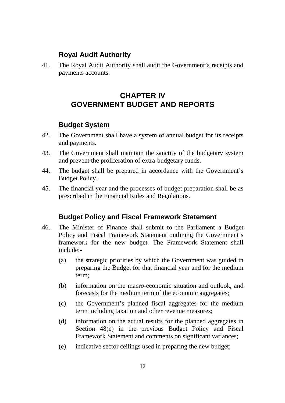# **Royal Audit Authority**

41. The Royal Audit Authority shall audit the Government's receipts and payments accounts.

# **CHAPTER IV GOVERNMENT BUDGET AND REPORTS**

# **Budget System**

- 42. The Government shall have a system of annual budget for its receipts and payments.
- 43. The Government shall maintain the sanctity of the budgetary system and prevent the proliferation of extra-budgetary funds.
- 44. The budget shall be prepared in accordance with the Government's Budget Policy.
- 45. The financial year and the processes of budget preparation shall be as prescribed in the Financial Rules and Regulations.

# **Budget Policy and Fiscal Framework Statement**

- 46. The Minister of Finance shall submit to the Parliament a Budget Policy and Fiscal Framework Statement outlining the Government's framework for the new budget. The Framework Statement shall include:-
	- (a) the strategic priorities by which the Government was guided in preparing the Budget for that financial year and for the medium term;
	- (b) information on the macro-economic situation and outlook, and forecasts for the medium term of the economic aggregates;
	- (c) the Government's planned fiscal aggregates for the medium term including taxation and other revenue measures;
	- (d) information on the actual results for the planned aggregates in Section 48(c) in the previous Budget Policy and Fiscal Framework Statement and comments on significant variances;
	- (e) indicative sector ceilings used in preparing the new budget;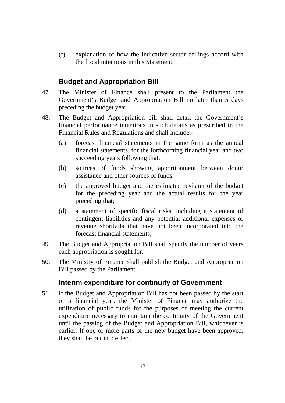(f) explanation of how the indicative sector ceilings accord with the fiscal intentions in this Statement.

# **Budget and Appropriation Bill**

- 47. The Minister of Finance shall present to the Parliament the Government's Budget and Appropriation Bill no later than 5 days preceding the budget year.
- 48. The Budget and Appropriation bill shall detail the Government's financial performance intentions in such details as prescribed in the Financial Rules and Regulations and shall include:-
	- (a) forecast financial statements in the same form as the annual financial statements, for the forthcoming financial year and two succeeding years following that;
	- (b) sources of funds showing apportionment between donor assistance and other sources of funds;
	- (c) the approved budget and the estimated revision of the budget for the preceding year and the actual results for the year preceding that;
	- (d) a statement of specific fiscal risks, including a statement of contingent liabilities and any potential additional expenses or revenue shortfalls that have not been incorporated into the forecast financial statements;
- 49. The Budget and Appropriation Bill shall specify the number of years each appropriation is sought for.
- 50. The Ministry of Finance shall publish the Budget and Appropriation Bill passed by the Parliament.

# **Interim expenditure for continuity of Government**

51. If the Budget and Appropriation Bill has not been passed by the start of a financial year, the Minister of Finance may authorize the utilization of public funds for the purposes of meeting the current expenditure necessary to maintain the continuity of the Government until the passing of the Budget and Appropriation Bill, whichever is earlier. If one or more parts of the new budget have been approved, they shall be put into effect.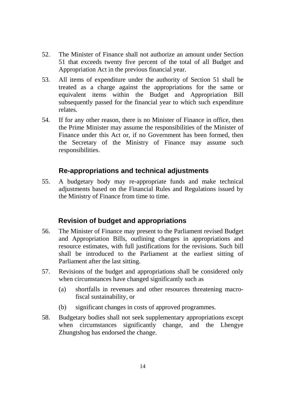- 52. The Minister of Finance shall not authorize an amount under Section 51 that exceeds twenty five percent of the total of all Budget and Appropriation Act in the previous financial year.
- 53. All items of expenditure under the authority of Section 51 shall be treated as a charge against the appropriations for the same or equivalent items within the Budget and Appropriation Bill subsequently passed for the financial year to which such expenditure relates.
- 54. If for any other reason, there is no Minister of Finance in office, then the Prime Minister may assume the responsibilities of the Minister of Finance under this Act or, if no Government has been formed, then the Secretary of the Ministry of Finance may assume such responsibilities.

# **Re-appropriations and technical adjustments**

55. A budgetary body may re-appropriate funds and make technical adjustments based on the Financial Rules and Regulations issued by the Ministry of Finance from time to time.

# **Revision of budget and appropriations**

- 56. The Minister of Finance may present to the Parliament revised Budget and Appropriation Bills, outlining changes in appropriations and resource estimates, with full justifications for the revisions. Such bill shall be introduced to the Parliament at the earliest sitting of Parliament after the last sitting.
- 57. Revisions of the budget and appropriations shall be considered only when circumstances have changed significantly such as
	- (a) shortfalls in revenues and other resources threatening macrofiscal sustainability, or
	- (b) significant changes in costs of approved programmes.
- 58. Budgetary bodies shall not seek supplementary appropriations except when circumstances significantly change, and the Lhengye Zhungtshog has endorsed the change.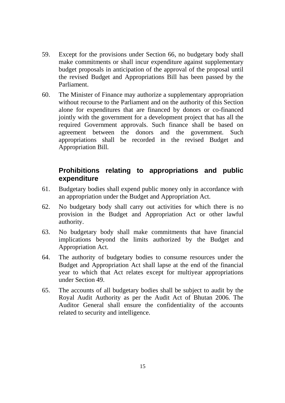- 59. Except for the provisions under Section 66, no budgetary body shall make commitments or shall incur expenditure against supplementary budget proposals in anticipation of the approval of the proposal until the revised Budget and Appropriations Bill has been passed by the Parliament.
- 60. The Minister of Finance may authorize a supplementary appropriation without recourse to the Parliament and on the authority of this Section alone for expenditures that are financed by donors or co-financed jointly with the government for a development project that has all the required Government approvals. Such finance shall be based on agreement between the donors and the government. Such appropriations shall be recorded in the revised Budget and Appropriation Bill.

# **Prohibitions relating to appropriations and public expenditure**

- 61. Budgetary bodies shall expend public money only in accordance with an appropriation under the Budget and Appropriation Act.
- 62. No budgetary body shall carry out activities for which there is no provision in the Budget and Appropriation Act or other lawful authority.
- 63. No budgetary body shall make commitments that have financial implications beyond the limits authorized by the Budget and Appropriation Act.
- 64. The authority of budgetary bodies to consume resources under the Budget and Appropriation Act shall lapse at the end of the financial year to which that Act relates except for multiyear appropriations under Section 49.
- 65. The accounts of all budgetary bodies shall be subject to audit by the Royal Audit Authority as per the Audit Act of Bhutan 2006. The Auditor General shall ensure the confidentiality of the accounts related to security and intelligence.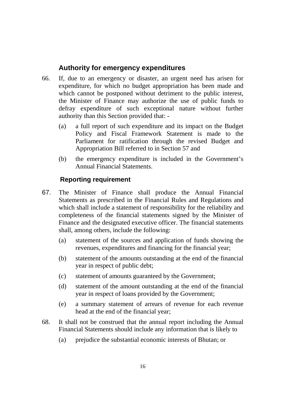# **Authority for emergency expenditures**

- 66. If, due to an emergency or disaster, an urgent need has arisen for expenditure, for which no budget appropriation has been made and which cannot be postponed without detriment to the public interest, the Minister of Finance may authorize the use of public funds to defray expenditure of such exceptional nature without further authority than this Section provided that: -
	- (a) a full report of such expenditure and its impact on the Budget Policy and Fiscal Framework Statement is made to the Parliament for ratification through the revised Budget and Appropriation Bill referred to in Section 57 and
	- (b) the emergency expenditure is included in the Government's Annual Financial Statements.

# **Reporting requirement**

- 67. The Minister of Finance shall produce the Annual Financial Statements as prescribed in the Financial Rules and Regulations and which shall include a statement of responsibility for the reliability and completeness of the financial statements signed by the Minister of Finance and the designated executive officer. The financial statements shall, among others, include the following:
	- (a) statement of the sources and application of funds showing the revenues, expenditures and financing for the financial year;
	- (b) statement of the amounts outstanding at the end of the financial year in respect of public debt;
	- (c) statement of amounts guaranteed by the Government;
	- (d) statement of the amount outstanding at the end of the financial year in respect of loans provided by the Government;
	- (e) a summary statement of arrears of revenue for each revenue head at the end of the financial year;
- 68. It shall not be construed that the annual report including the Annual Financial Statements should include any information that is likely to
	- (a) prejudice the substantial economic interests of Bhutan; or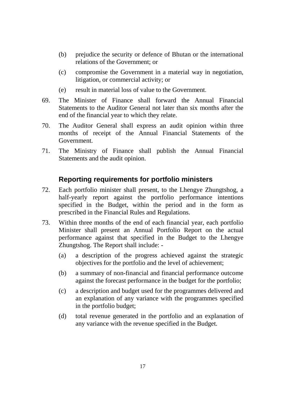- (b) prejudice the security or defence of Bhutan or the international relations of the Government; or
- (c) compromise the Government in a material way in negotiation, litigation, or commercial activity; or
- (e) result in material loss of value to the Government.
- 69. The Minister of Finance shall forward the Annual Financial Statements to the Auditor General not later than six months after the end of the financial year to which they relate.
- 70. The Auditor General shall express an audit opinion within three months of receipt of the Annual Financial Statements of the Government.
- 71. The Ministry of Finance shall publish the Annual Financial Statements and the audit opinion.

# **Reporting requirements for portfolio ministers**

- 72. Each portfolio minister shall present, to the Lhengye Zhungtshog, a half-yearly report against the portfolio performance intentions specified in the Budget, within the period and in the form as prescribed in the Financial Rules and Regulations.
- 73. Within three months of the end of each financial year, each portfolio Minister shall present an Annual Portfolio Report on the actual performance against that specified in the Budget to the Lhengye Zhungtshog. The Report shall include: -
	- (a) a description of the progress achieved against the strategic objectives for the portfolio and the level of achievement;
	- (b) a summary of non-financial and financial performance outcome against the forecast performance in the budget for the portfolio;
	- (c) a description and budget used for the programmes delivered and an explanation of any variance with the programmes specified in the portfolio budget;
	- (d) total revenue generated in the portfolio and an explanation of any variance with the revenue specified in the Budget.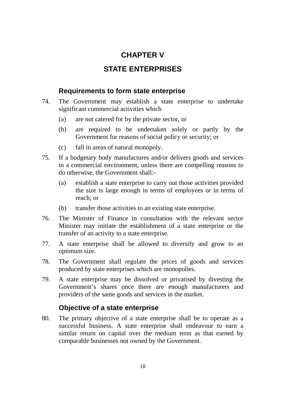# **CHAPTER V**

# **STATE ENTERPRISES**

# **Requirements to form state enterprise**

- 74. The Government may establish a state enterprise to undertake significant commercial activities which
	- (a) are not catered for by the private sector, or
	- (b) are required to be undertaken solely or partly by the Government for reasons of social policy or security; or
	- (c) fall in areas of natural monopoly.
- 75. If a budgetary body manufactures and/or delivers goods and services in a commercial environment, unless there are compelling reasons to do otherwise, the Government shall:-
	- (a) establish a state enterprise to carry out those activities provided the size is large enough in terms of employees or in terms of reach; or
	- (b) transfer those activities to an existing state enterprise.
- 76. The Minister of Finance in consultation with the relevant sector Minister may initiate the establishment of a state enterprise or the transfer of an activity to a state enterprise.
- 77. A state enterprise shall be allowed to diversify and grow to an optimum size.
- 78. The Government shall regulate the prices of goods and services produced by state enterprises which are monopolies.
- 79. A state enterprise may be dissolved or privatised by divesting the Government's shares once there are enough manufacturers and providers of the same goods and services in the market.

# **Objective of a state enterprise**

80. The primary objective of a state enterprise shall be to operate as a successful business. A state enterprise shall endeavour to earn a similar return on capital over the medium term as that earned by comparable businesses not owned by the Government.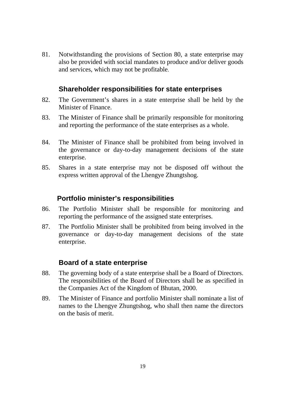81. Notwithstanding the provisions of Section 80, a state enterprise may also be provided with social mandates to produce and/or deliver goods and services, which may not be profitable.

# **Shareholder responsibilities for state enterprises**

- 82. The Government's shares in a state enterprise shall be held by the Minister of Finance.
- 83. The Minister of Finance shall be primarily responsible for monitoring and reporting the performance of the state enterprises as a whole.
- 84. The Minister of Finance shall be prohibited from being involved in the governance or day-to-day management decisions of the state enterprise.
- 85. Shares in a state enterprise may not be disposed off without the express written approval of the Lhengye Zhungtshog.

# **Portfolio minister's responsibilities**

- 86. The Portfolio Minister shall be responsible for monitoring and reporting the performance of the assigned state enterprises.
- 87. The Portfolio Minister shall be prohibited from being involved in the governance or day-to-day management decisions of the state enterprise.

# **Board of a state enterprise**

- 88. The governing body of a state enterprise shall be a Board of Directors. The responsibilities of the Board of Directors shall be as specified in the Companies Act of the Kingdom of Bhutan, 2000.
- 89. The Minister of Finance and portfolio Minister shall nominate a list of names to the Lhengye Zhungtshog, who shall then name the directors on the basis of merit.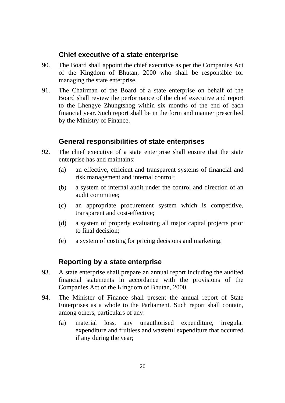# **Chief executive of a state enterprise**

- 90. The Board shall appoint the chief executive as per the Companies Act of the Kingdom of Bhutan, 2000 who shall be responsible for managing the state enterprise.
- 91. The Chairman of the Board of a state enterprise on behalf of the Board shall review the performance of the chief executive and report to the Lhengye Zhungtshog within six months of the end of each financial year. Such report shall be in the form and manner prescribed by the Ministry of Finance.

# **General responsibilities of state enterprises**

- 92. The chief executive of a state enterprise shall ensure that the state enterprise has and maintains:
	- (a) an effective, efficient and transparent systems of financial and risk management and internal control;
	- (b) a system of internal audit under the control and direction of an audit committee;
	- (c) an appropriate procurement system which is competitive, transparent and cost-effective;
	- (d) a system of properly evaluating all major capital projects prior to final decision;
	- (e) a system of costing for pricing decisions and marketing.

# **Reporting by a state enterprise**

- 93. A state enterprise shall prepare an annual report including the audited financial statements in accordance with the provisions of the Companies Act of the Kingdom of Bhutan, 2000.
- 94. The Minister of Finance shall present the annual report of State Enterprises as a whole to the Parliament. Such report shall contain, among others, particulars of any:
	- (a) material loss, any unauthorised expenditure, irregular expenditure and fruitless and wasteful expenditure that occurred if any during the year;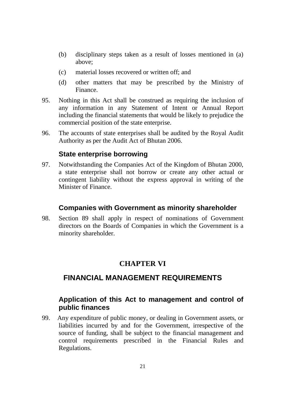- (b) disciplinary steps taken as a result of losses mentioned in (a) above;
- (c) material losses recovered or written off; and
- (d) other matters that may be prescribed by the Ministry of Finance.
- 95. Nothing in this Act shall be construed as requiring the inclusion of any information in any Statement of Intent or Annual Report including the financial statements that would be likely to prejudice the commercial position of the state enterprise.
- 96. The accounts of state enterprises shall be audited by the Royal Audit Authority as per the Audit Act of Bhutan 2006.

# **State enterprise borrowing**

97. Notwithstanding the Companies Act of the Kingdom of Bhutan 2000, a state enterprise shall not borrow or create any other actual or contingent liability without the express approval in writing of the Minister of Finance.

#### **Companies with Government as minority shareholder**

98. Section 89 shall apply in respect of nominations of Government directors on the Boards of Companies in which the Government is a minority shareholder.

# **CHAPTER VI**

# **FINANCIAL MANAGEMENT REQUIREMENTS**

# **Application of this Act to management and control of public finances**

99. Any expenditure of public money, or dealing in Government assets, or liabilities incurred by and for the Government, irrespective of the source of funding, shall be subject to the financial management and control requirements prescribed in the Financial Rules and Regulations.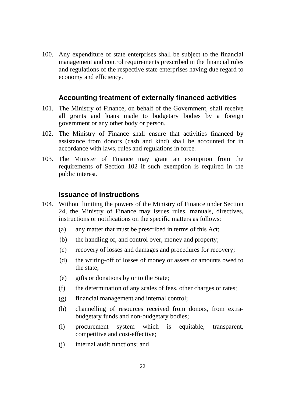100. Any expenditure of state enterprises shall be subject to the financial management and control requirements prescribed in the financial rules and regulations of the respective state enterprises having due regard to economy and efficiency.

# **Accounting treatment of externally financed activities**

- 101. The Ministry of Finance, on behalf of the Government, shall receive all grants and loans made to budgetary bodies by a foreign government or any other body or person.
- 102. The Ministry of Finance shall ensure that activities financed by assistance from donors (cash and kind) shall be accounted for in accordance with laws, rules and regulations in force.
- 103. The Minister of Finance may grant an exemption from the requirements of Section 102 if such exemption is required in the public interest.

#### **Issuance of instructions**

- 104. Without limiting the powers of the Ministry of Finance under Section 24, the Ministry of Finance may issues rules, manuals, directives, instructions or notifications on the specific matters as follows:
	- (a) any matter that must be prescribed in terms of this Act;
	- (b) the handling of, and control over, money and property;
	- (c) recovery of losses and damages and procedures for recovery;
	- (d) the writing-off of losses of money or assets or amounts owed to the state;
	- (e) gifts or donations by or to the State;
	- (f) the determination of any scales of fees, other charges or rates;
	- (g) financial management and internal control;
	- (h) channelling of resources received from donors, from extrabudgetary funds and non-budgetary bodies;
	- (i) procurement system which is equitable, transparent, competitive and cost-effective;
	- (j) internal audit functions; and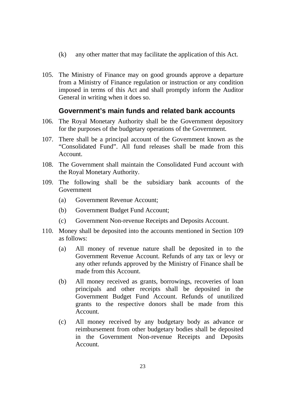- (k) any other matter that may facilitate the application of this Act.
- 105. The Ministry of Finance may on good grounds approve a departure from a Ministry of Finance regulation or instruction or any condition imposed in terms of this Act and shall promptly inform the Auditor General in writing when it does so.

# **Government's main funds and related bank accounts**

- 106. The Royal Monetary Authority shall be the Government depository for the purposes of the budgetary operations of the Government.
- 107. There shall be a principal account of the Government known as the "Consolidated Fund". All fund releases shall be made from this Account.
- 108. The Government shall maintain the Consolidated Fund account with the Royal Monetary Authority.
- 109. The following shall be the subsidiary bank accounts of the Government
	- (a) Government Revenue Account;
	- (b) Government Budget Fund Account;
	- (c) Government Non-revenue Receipts and Deposits Account.
- 110. Money shall be deposited into the accounts mentioned in Section 109 as follows:
	- (a) All money of revenue nature shall be deposited in to the Government Revenue Account. Refunds of any tax or levy or any other refunds approved by the Ministry of Finance shall be made from this Account.
	- (b) All money received as grants, borrowings, recoveries of loan principals and other receipts shall be deposited in the Government Budget Fund Account. Refunds of unutilized grants to the respective donors shall be made from this Account.
	- (c) All money received by any budgetary body as advance or reimbursement from other budgetary bodies shall be deposited in the Government Non-revenue Receipts and Deposits Account.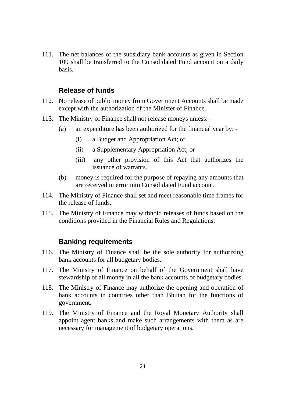111. The net balances of the subsidiary bank accounts as given in Section 109 shall be transferred to the Consolidated Fund account on a daily basis.

#### **Release of funds**

- 112. No release of public money from Government Accounts shall be made except with the authorization of the Minister of Finance.
- 113. The Ministry of Finance shall not release moneys unless:-
	- (a) an expenditure has been authorized for the financial year by:
		- (i) a Budget and Appropriation Act; or
		- (ii) a Supplementary Appropriation Act; or
		- (iii) any other provision of this Act that authorizes the issuance of warrants.
	- (b) money is required for the purpose of repaying any amounts that are received in error into Consolidated Fund account.
- 114. The Ministry of Finance shall set and meet reasonable time frames for the release of funds.
- 115. The Ministry of Finance may withhold releases of funds based on the conditions provided in the Financial Rules and Regulations.

#### **Banking requirements**

- 116. The Ministry of Finance shall be the sole authority for authorizing bank accounts for all budgetary bodies.
- 117. The Ministry of Finance on behalf of the Government shall have stewardship of all money in all the bank accounts of budgetary bodies.
- 118. The Ministry of Finance may authorize the opening and operation of bank accounts in countries other than Bhutan for the functions of government.
- 119. The Ministry of Finance and the Royal Monetary Authority shall appoint agent banks and make such arrangements with them as are necessary for management of budgetary operations.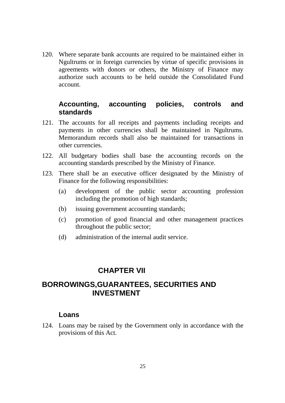120. Where separate bank accounts are required to be maintained either in Ngultrums or in foreign currencies by virtue of specific provisions in agreements with donors or others, the Ministry of Finance may authorize such accounts to be held outside the Consolidated Fund account.

# **Accounting, accounting policies, controls and standards**

- 121. The accounts for all receipts and payments including receipts and payments in other currencies shall be maintained in Ngultrums. Memorandum records shall also be maintained for transactions in other currencies.
- 122. All budgetary bodies shall base the accounting records on the accounting standards prescribed by the Ministry of Finance.
- 123. There shall be an executive officer designated by the Ministry of Finance for the following responsibilities:
	- (a) development of the public sector accounting profession including the promotion of high standards;
	- (b) issuing government accounting standards;
	- (c) promotion of good financial and other management practices throughout the public sector;
	- (d) administration of the internal audit service.

# **CHAPTER VII**

# **BORROWINGS,GUARANTEES, SECURITIES AND INVESTMENT**

# **Loans**

124. Loans may be raised by the Government only in accordance with the provisions of this Act.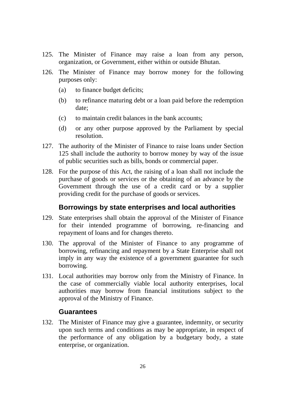- 125. The Minister of Finance may raise a loan from any person, organization, or Government, either within or outside Bhutan.
- 126. The Minister of Finance may borrow money for the following purposes only:
	- (a) to finance budget deficits;
	- (b) to refinance maturing debt or a loan paid before the redemption date;
	- (c) to maintain credit balances in the bank accounts;
	- (d) or any other purpose approved by the Parliament by special resolution.
- 127. The authority of the Minister of Finance to raise loans under Section 125 shall include the authority to borrow money by way of the issue of public securities such as bills, bonds or commercial paper.
- 128. For the purpose of this Act, the raising of a loan shall not include the purchase of goods or services or the obtaining of an advance by the Government through the use of a credit card or by a supplier providing credit for the purchase of goods or services.

# **Borrowings by state enterprises and local authorities**

- 129. State enterprises shall obtain the approval of the Minister of Finance for their intended programme of borrowing, re-financing and repayment of loans and for changes thereto.
- 130. The approval of the Minister of Finance to any programme of borrowing, refinancing and repayment by a State Enterprise shall not imply in any way the existence of a government guarantee for such borrowing.
- 131. Local authorities may borrow only from the Ministry of Finance. In the case of commercially viable local authority enterprises, local authorities may borrow from financial institutions subject to the approval of the Ministry of Finance.

#### **Guarantees**

132. The Minister of Finance may give a guarantee, indemnity, or security upon such terms and conditions as may be appropriate, in respect of the performance of any obligation by a budgetary body, a state enterprise, or organization.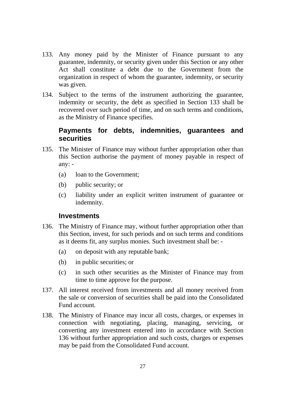- 133. Any money paid by the Minister of Finance pursuant to any guarantee, indemnity, or security given under this Section or any other Act shall constitute a debt due to the Government from the organization in respect of whom the guarantee, indemnity, or security was given.
- 134. Subject to the terms of the instrument authorizing the guarantee, indemnity or security, the debt as specified in Section 133 shall be recovered over such period of time, and on such terms and conditions, as the Ministry of Finance specifies.

# **Payments for debts, indemnities, guarantees and securities**

- 135. The Minister of Finance may without further appropriation other than this Section authorise the payment of money payable in respect of any: -
	- (a) loan to the Government;
	- (b) public security; or
	- (c) liability under an explicit written instrument of guarantee or indemnity.

#### **Investments**

- 136. The Ministry of Finance may, without further appropriation other than this Section, invest, for such periods and on such terms and conditions as it deems fit, any surplus monies. Such investment shall be: -
	- (a) on deposit with any reputable bank;
	- (b) in public securities; or
	- (c) in such other securities as the Minister of Finance may from time to time approve for the purpose.
- 137. All interest received from investments and all money received from the sale or conversion of securities shall be paid into the Consolidated Fund account.
- 138. The Ministry of Finance may incur all costs, charges, or expenses in connection with negotiating, placing, managing, servicing, or converting any investment entered into in accordance with Section 136 without further appropriation and such costs, charges or expenses may be paid from the Consolidated Fund account.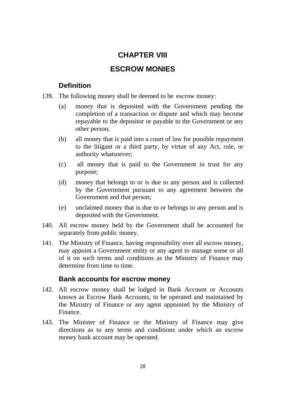# **CHAPTER VIII**

# **ESCROW MONIES**

# **Definition**

- 139. The following money shall be deemed to be escrow money:
	- (a) money that is deposited with the Government pending the completion of a transaction or dispute and which may become repayable to the depositor or payable to the Government or any other person;
	- (b) all money that is paid into a court of law for possible repayment to the litigant or a third party, by virtue of any Act, rule, or authority whatsoever;
	- (c) all money that is paid to the Government in trust for any purpose;
	- (d) money that belongs to or is due to any person and is collected by the Government pursuant to any agreement between the Government and that person;
	- (e) unclaimed money that is due to or belongs to any person and is deposited with the Government.
- 140. All escrow money held by the Government shall be accounted for separately from public money.
- 141. The Ministry of Finance, having responsibility over all escrow money, may appoint a Government entity or any agent to manage some or all of it on such terms and conditions as the Ministry of Finance may determine from time to time.

# **Bank accounts for escrow money**

- 142. All escrow money shall be lodged in Bank Account or Accounts known as Escrow Bank Accounts, to be operated and maintained by the Ministry of Finance or any agent appointed by the Ministry of Finance.
- 143. The Minister of Finance or the Ministry of Finance may give directions as to any terms and conditions under which an escrow money bank account may be operated.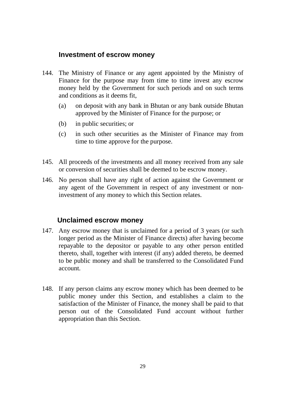# **Investment of escrow money**

- 144. The Ministry of Finance or any agent appointed by the Ministry of Finance for the purpose may from time to time invest any escrow money held by the Government for such periods and on such terms and conditions as it deems fit,
	- (a) on deposit with any bank in Bhutan or any bank outside Bhutan approved by the Minister of Finance for the purpose; or
	- (b) in public securities; or
	- (c) in such other securities as the Minister of Finance may from time to time approve for the purpose.
- 145. All proceeds of the investments and all money received from any sale or conversion of securities shall be deemed to be escrow money.
- 146. No person shall have any right of action against the Government or any agent of the Government in respect of any investment or noninvestment of any money to which this Section relates.

# **Unclaimed escrow money**

- 147. Any escrow money that is unclaimed for a period of 3 years (or such longer period as the Minister of Finance directs) after having become repayable to the depositor or payable to any other person entitled thereto, shall, together with interest (if any) added thereto, be deemed to be public money and shall be transferred to the Consolidated Fund account.
- 148. If any person claims any escrow money which has been deemed to be public money under this Section, and establishes a claim to the satisfaction of the Minister of Finance, the money shall be paid to that person out of the Consolidated Fund account without further appropriation than this Section.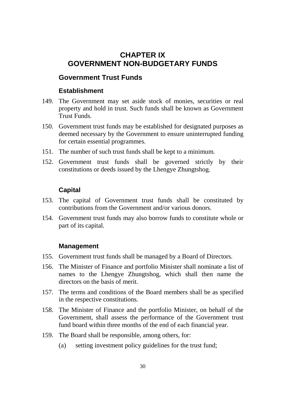# **CHAPTER IX GOVERNMENT NON-BUDGETARY FUNDS**

# **Government Trust Funds**

#### **Establishment**

- 149. The Government may set aside stock of monies, securities or real property and hold in trust. Such funds shall be known as Government Trust Funds.
- 150. Government trust funds may be established for designated purposes as deemed necessary by the Government to ensure uninterrupted funding for certain essential programmes.
- 151. The number of such trust funds shall be kept to a minimum.
- 152. Government trust funds shall be governed strictly by their constitutions or deeds issued by the Lhengye Zhungtshog.

#### **Capital**

- 153. The capital of Government trust funds shall be constituted by contributions from the Government and/or various donors.
- 154. Government trust funds may also borrow funds to constitute whole or part of its capital.

#### **Management**

- 155. Government trust funds shall be managed by a Board of Directors.
- 156. The Minister of Finance and portfolio Minister shall nominate a list of names to the Lhengye Zhungtshog, which shall then name the directors on the basis of merit.
- 157. The terms and conditions of the Board members shall be as specified in the respective constitutions.
- 158. The Minister of Finance and the portfolio Minister, on behalf of the Government, shall assess the performance of the Government trust fund board within three months of the end of each financial year.
- 159. The Board shall be responsible, among others, for:
	- (a) setting investment policy guidelines for the trust fund;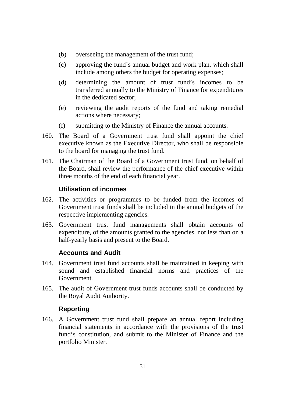- (b) overseeing the management of the trust fund;
- (c) approving the fund's annual budget and work plan, which shall include among others the budget for operating expenses;
- (d) determining the amount of trust fund's incomes to be transferred annually to the Ministry of Finance for expenditures in the dedicated sector;
- (e) reviewing the audit reports of the fund and taking remedial actions where necessary;
- (f) submitting to the Ministry of Finance the annual accounts.
- 160. The Board of a Government trust fund shall appoint the chief executive known as the Executive Director, who shall be responsible to the board for managing the trust fund.
- 161. The Chairman of the Board of a Government trust fund, on behalf of the Board, shall review the performance of the chief executive within three months of the end of each financial year.

# **Utilisation of incomes**

- 162. The activities or programmes to be funded from the incomes of Government trust funds shall be included in the annual budgets of the respective implementing agencies.
- 163. Government trust fund managements shall obtain accounts of expenditure, of the amounts granted to the agencies, not less than on a half-yearly basis and present to the Board.

# **Accounts and Audit**

- 164. Government trust fund accounts shall be maintained in keeping with sound and established financial norms and practices of the Government.
- 165. The audit of Government trust funds accounts shall be conducted by the Royal Audit Authority.

# **Reporting**

166. A Government trust fund shall prepare an annual report including financial statements in accordance with the provisions of the trust fund's constitution, and submit to the Minister of Finance and the portfolio Minister.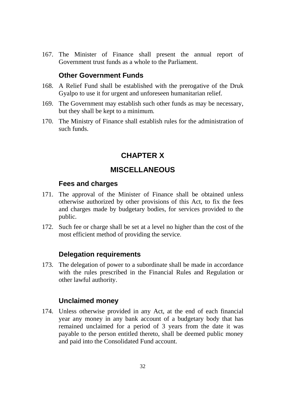167. The Minister of Finance shall present the annual report of Government trust funds as a whole to the Parliament.

# **Other Government Funds**

- 168. A Relief Fund shall be established with the prerogative of the Druk Gyalpo to use it for urgent and unforeseen humanitarian relief.
- 169. The Government may establish such other funds as may be necessary, but they shall be kept to a minimum.
- 170. The Ministry of Finance shall establish rules for the administration of such funds.

# **CHAPTER X**

# **MISCELLANEOUS**

# **Fees and charges**

- 171. The approval of the Minister of Finance shall be obtained unless otherwise authorized by other provisions of this Act, to fix the fees and charges made by budgetary bodies, for services provided to the public.
- 172. Such fee or charge shall be set at a level no higher than the cost of the most efficient method of providing the service.

# **Delegation requirements**

173. The delegation of power to a subordinate shall be made in accordance with the rules prescribed in the Financial Rules and Regulation or other lawful authority.

# **Unclaimed money**

174. Unless otherwise provided in any Act, at the end of each financial year any money in any bank account of a budgetary body that has remained unclaimed for a period of 3 years from the date it was payable to the person entitled thereto, shall be deemed public money and paid into the Consolidated Fund account.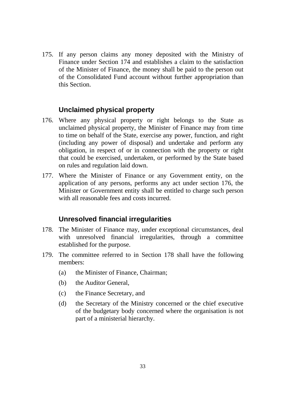175. If any person claims any money deposited with the Ministry of Finance under Section 174 and establishes a claim to the satisfaction of the Minister of Finance, the money shall be paid to the person out of the Consolidated Fund account without further appropriation than this Section.

# **Unclaimed physical property**

- 176. Where any physical property or right belongs to the State as unclaimed physical property, the Minister of Finance may from time to time on behalf of the State, exercise any power, function, and right (including any power of disposal) and undertake and perform any obligation, in respect of or in connection with the property or right that could be exercised, undertaken, or performed by the State based on rules and regulation laid down.
- 177. Where the Minister of Finance or any Government entity, on the application of any persons, performs any act under section 176, the Minister or Government entity shall be entitled to charge such person with all reasonable fees and costs incurred.

#### **Unresolved financial irregularities**

- 178. The Minister of Finance may, under exceptional circumstances, deal with unresolved financial irregularities, through a committee established for the purpose.
- 179. The committee referred to in Section 178 shall have the following members:
	- (a) the Minister of Finance, Chairman;
	- (b) the Auditor General,
	- (c) the Finance Secretary, and
	- (d) the Secretary of the Ministry concerned or the chief executive of the budgetary body concerned where the organisation is not part of a ministerial hierarchy.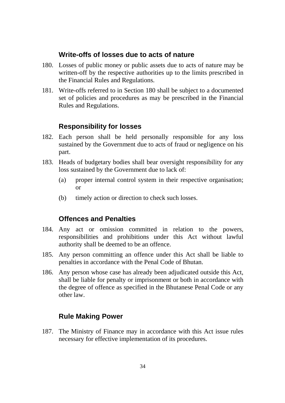# **Write-offs of losses due to acts of nature**

- 180. Losses of public money or public assets due to acts of nature may be written-off by the respective authorities up to the limits prescribed in the Financial Rules and Regulations.
- 181. Write-offs referred to in Section 180 shall be subject to a documented set of policies and procedures as may be prescribed in the Financial Rules and Regulations.

# **Responsibility for losses**

- 182. Each person shall be held personally responsible for any loss sustained by the Government due to acts of fraud or negligence on his part.
- 183. Heads of budgetary bodies shall bear oversight responsibility for any loss sustained by the Government due to lack of:
	- (a) proper internal control system in their respective organisation; or
	- (b) timely action or direction to check such losses.

# **Offences and Penalties**

- 184. Any act or omission committed in relation to the powers, responsibilities and prohibitions under this Act without lawful authority shall be deemed to be an offence.
- 185. Any person committing an offence under this Act shall be liable to penalties in accordance with the Penal Code of Bhutan.
- 186. Any person whose case has already been adjudicated outside this Act, shall be liable for penalty or imprisonment or both in accordance with the degree of offence as specified in the Bhutanese Penal Code or any other law.

# **Rule Making Power**

187. The Ministry of Finance may in accordance with this Act issue rules necessary for effective implementation of its procedures.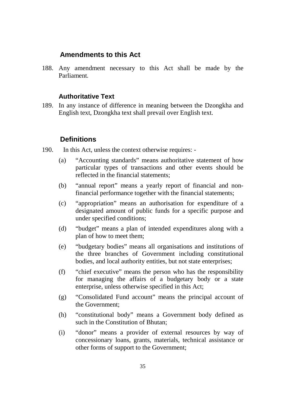# **Amendments to this Act**

188. Any amendment necessary to this Act shall be made by the Parliament.

#### **Authoritative Text**

189. In any instance of difference in meaning between the Dzongkha and English text, Dzongkha text shall prevail over English text.

#### **Definitions**

- 190. In this Act, unless the context otherwise requires:
	- (a) "Accounting standards" means authoritative statement of how particular types of transactions and other events should be reflected in the financial statements;
	- (b) "annual report" means a yearly report of financial and nonfinancial performance together with the financial statements;
	- (c) "appropriation" means an authorisation for expenditure of a designated amount of public funds for a specific purpose and under specified conditions;
	- (d) "budget" means a plan of intended expenditures along with a plan of how to meet them;
	- (e) "budgetary bodies" means all organisations and institutions of the three branches of Government including constitutional bodies, and local authority entities, but not state enterprises;
	- (f) "chief executive" means the person who has the responsibility for managing the affairs of a budgetary body or a state enterprise, unless otherwise specified in this Act;
	- (g) "Consolidated Fund account" means the principal account of the Government;
	- (h) "constitutional body" means a Government body defined as such in the Constitution of Bhutan;
	- (i) "donor" means a provider of external resources by way of concessionary loans, grants, materials, technical assistance or other forms of support to the Government;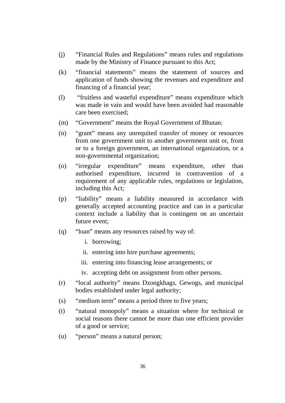- (j) "Financial Rules and Regulations" means rules and regulations made by the Ministry of Finance pursuant to this Act;
- (k) "financial statements" means the statement of sources and application of funds showing the revenues and expenditure and financing of a financial year;
- (l) "fruitless and wasteful expenditure" means expenditure which was made in vain and would have been avoided had reasonable care been exercised;
- (m) "Government" means the Royal Government of Bhutan;
- (n) "grant" means any unrequited transfer of money or resources from one government unit to another government unit or, from or to a foreign government, an international organization, or a non-governmental organization;
- (o) "irregular expenditure" means expenditure, other than authorised expenditure, incurred in contravention of a requirement of any applicable rules, regulations or legislation, including this Act;
- (p) "liability" means a liability measured in accordance with generally accepted accounting practice and can in a particular context include a liability that is contingent on an uncertain future event;
- (q) "loan" means any resources raised by way of:
	- i. borrowing;
	- ii. entering into hire purchase agreements;
	- iii. entering into financing lease arrangements; or
	- iv. accepting debt on assignment from other persons.
- (r) "local authority" means Dzongkhags, Gewogs, and municipal bodies established under legal authority;
- (s) "medium term" means a period three to five years;
- (t) "natural monopoly" means a situation where for technical or social reasons there cannot be more than one efficient provider of a good or service;
- (u) "person" means a natural person;